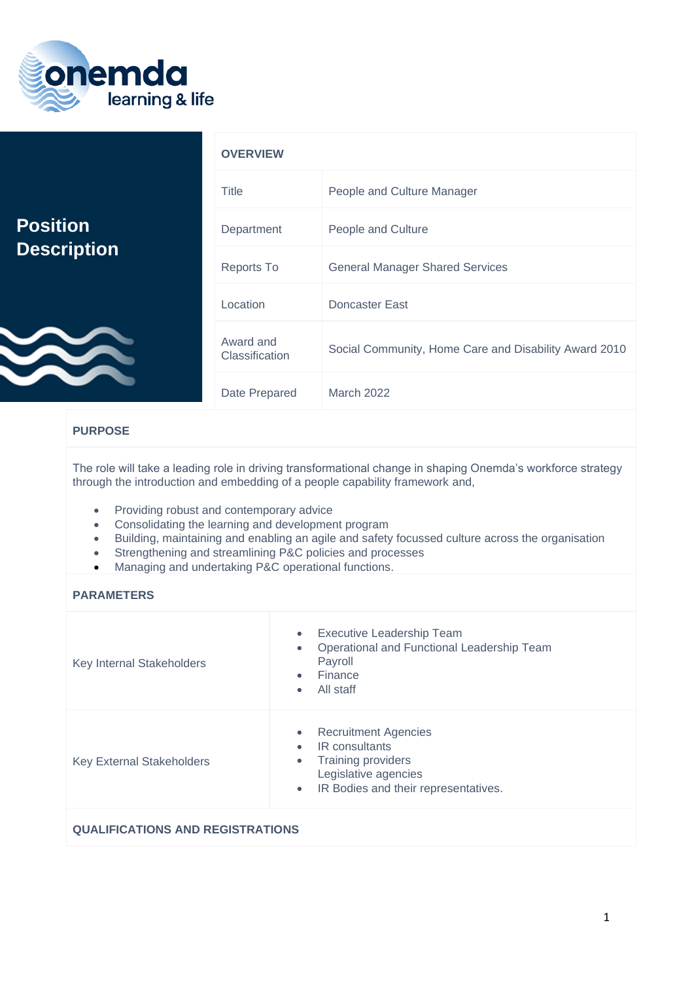

|                    | <b>OVERVIEW</b>             |                                                       |
|--------------------|-----------------------------|-------------------------------------------------------|
|                    | Title                       | People and Culture Manager                            |
| <b>Position</b>    | Department                  | People and Culture                                    |
| <b>Description</b> | Reports To                  | <b>General Manager Shared Services</b>                |
|                    | Location                    | Doncaster East                                        |
|                    | Award and<br>Classification | Social Community, Home Care and Disability Award 2010 |
|                    | Date Prepared               | <b>March 2022</b>                                     |

## **PURPOSE**

The role will take a leading role in driving transformational change in shaping Onemda's workforce strategy through the introduction and embedding of a people capability framework and,

- Providing robust and contemporary advice
- Consolidating the learning and development program
- Building, maintaining and enabling an agile and safety focussed culture across the organisation
- Strengthening and streamlining P&C policies and processes
- Managing and undertaking P&C operational functions.

## **PARAMETERS**

| Key Internal Stakeholders        | Executive Leadership Team<br>$\bullet$<br>Operational and Functional Leadership Team<br>$\bullet$<br>Payroll<br>Finance<br>$\bullet$<br>All staff<br>$\bullet$                                 |
|----------------------------------|------------------------------------------------------------------------------------------------------------------------------------------------------------------------------------------------|
| <b>Key External Stakeholders</b> | <b>Recruitment Agencies</b><br>$\bullet$<br>IR consultants<br>$\bullet$<br><b>Training providers</b><br>$\bullet$<br>Legislative agencies<br>IR Bodies and their representatives.<br>$\bullet$ |
|                                  |                                                                                                                                                                                                |

# **QUALIFICATIONS AND REGISTRATIONS**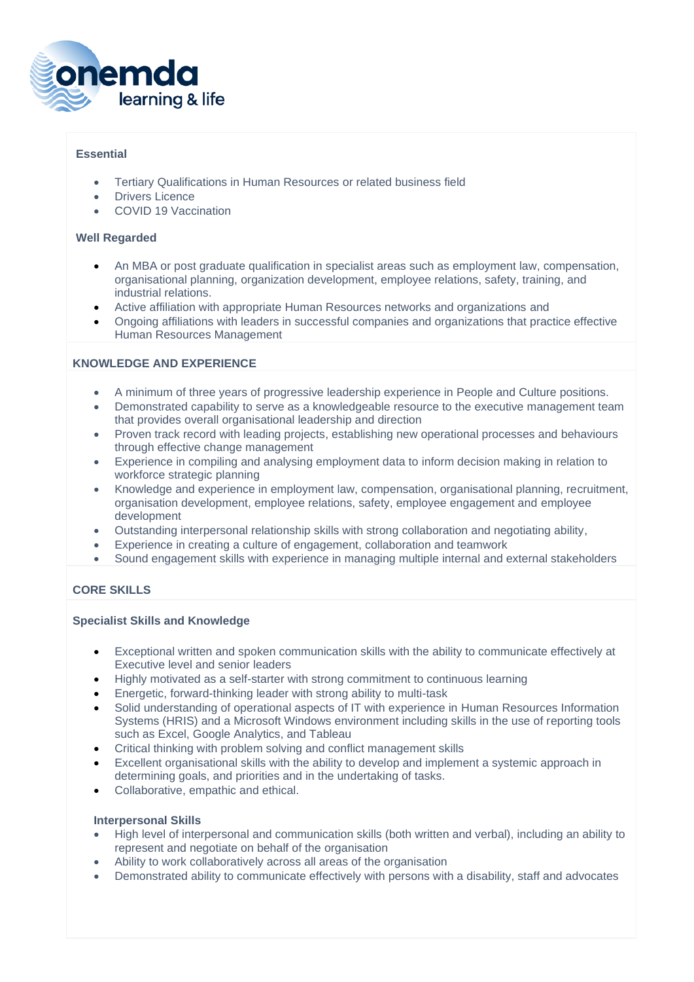

## **Essential**

- Tertiary Qualifications in Human Resources or related business field
- Drivers Licence
- COVID 19 Vaccination

#### **Well Regarded**

- An MBA or post graduate qualification in specialist areas such as employment law, compensation, organisational planning, organization development, employee relations, safety, training, and industrial relations.
- Active affiliation with appropriate Human Resources networks and organizations and
- Ongoing affiliations with leaders in successful companies and organizations that practice effective Human Resources Management

#### **KNOWLEDGE AND EXPERIENCE**

- A minimum of three years of progressive leadership experience in People and Culture positions.
- Demonstrated capability to serve as a knowledgeable resource to the executive management team that provides overall organisational leadership and direction
- Proven track record with leading projects, establishing new operational processes and behaviours through effective change management
- Experience in compiling and analysing employment data to inform decision making in relation to workforce strategic planning
- Knowledge and experience in employment law, compensation, organisational planning, recruitment, organisation development, employee relations, safety, employee engagement and employee development
- Outstanding interpersonal relationship skills with strong collaboration and negotiating ability,
- Experience in creating a culture of engagement, collaboration and teamwork
- Sound engagement skills with experience in managing multiple internal and external stakeholders

## **CORE SKILLS**

#### **Specialist Skills and Knowledge**

- Exceptional written and spoken communication skills with the ability to communicate effectively at Executive level and senior leaders
- Highly motivated as a self-starter with strong commitment to continuous learning
- Energetic, forward-thinking leader with strong ability to multi-task
- Solid understanding of operational aspects of IT with experience in Human Resources Information Systems (HRIS) and a Microsoft Windows environment including skills in the use of reporting tools such as Excel, Google Analytics, and Tableau
- Critical thinking with problem solving and conflict management skills
- Excellent organisational skills with the ability to develop and implement a systemic approach in determining goals, and priorities and in the undertaking of tasks.
- Collaborative, empathic and ethical.

#### **Interpersonal Skills**

- High level of interpersonal and communication skills (both written and verbal), including an ability to represent and negotiate on behalf of the organisation
- Ability to work collaboratively across all areas of the organisation
- Demonstrated ability to communicate effectively with persons with a disability, staff and advocates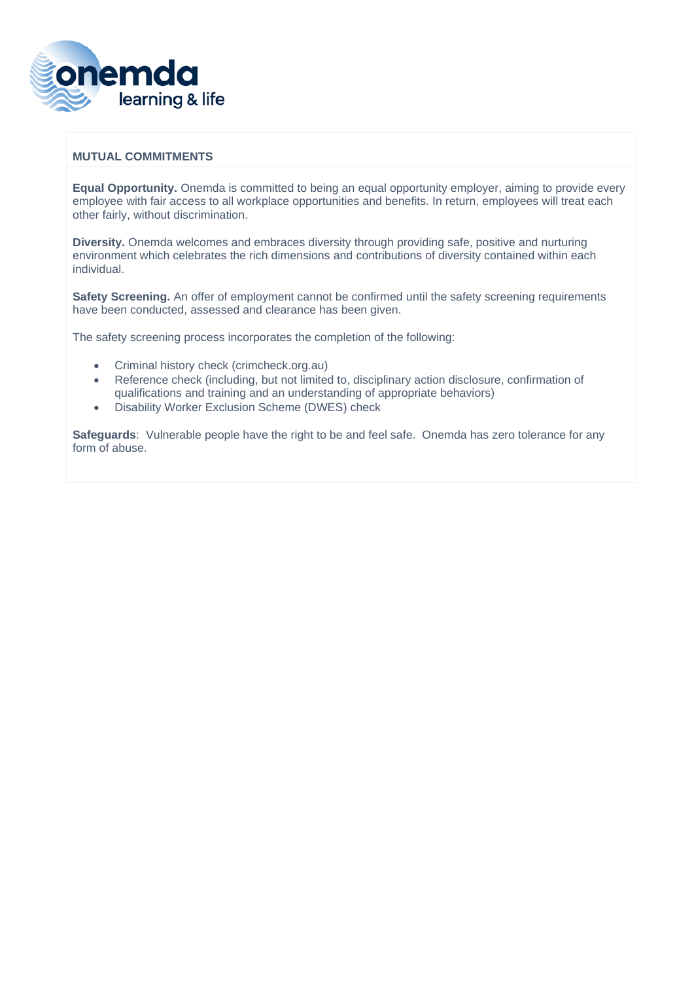

### **MUTUAL COMMITMENTS**

**Equal Opportunity.** Onemda is committed to being an equal opportunity employer, aiming to provide every employee with fair access to all workplace opportunities and benefits. In return, employees will treat each other fairly, without discrimination.

**Diversity.** Onemda welcomes and embraces diversity through providing safe, positive and nurturing environment which celebrates the rich dimensions and contributions of diversity contained within each individual.

**Safety Screening.** An offer of employment cannot be confirmed until the safety screening requirements have been conducted, assessed and clearance has been given.

The safety screening process incorporates the completion of the following:

- Criminal history check (crimcheck.org.au)
- Reference check (including, but not limited to, disciplinary action disclosure, confirmation of qualifications and training and an understanding of appropriate behaviors)
- Disability Worker Exclusion Scheme (DWES) check

**Safeguards**: Vulnerable people have the right to be and feel safe. Onemda has zero tolerance for any form of abuse.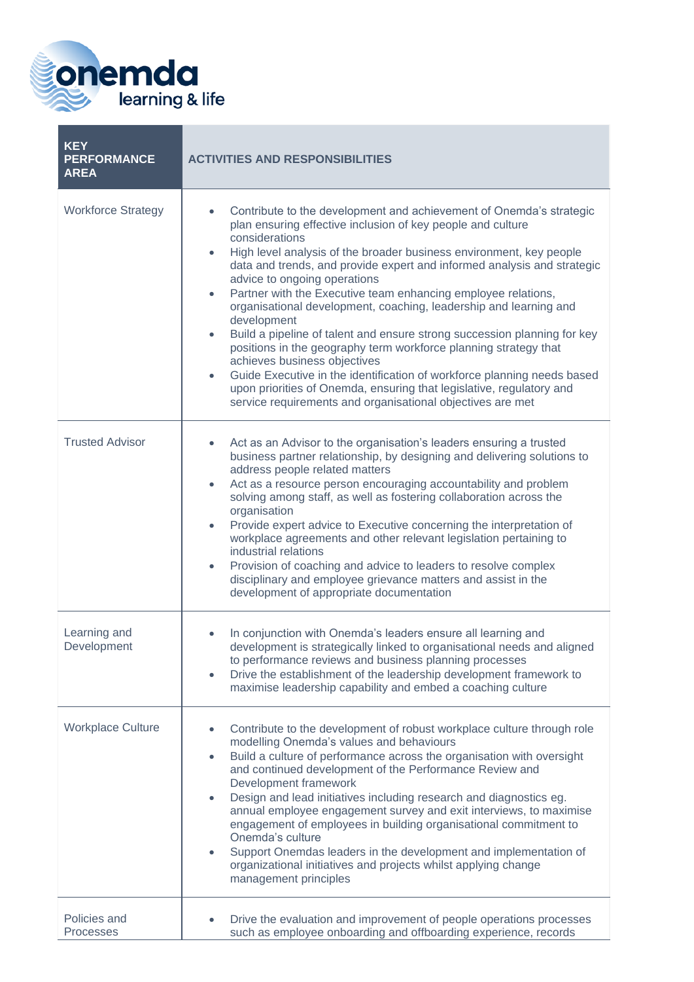

| <b>KEY</b><br><b>PERFORMANCE</b><br><b>AREA</b> | <b>ACTIVITIES AND RESPONSIBILITIES</b>                                                                                                                                                                                                                                                                                                                                                                                                                                                                                                                                                                                                                                                                                                                                                                                                                                                                                                                |
|-------------------------------------------------|-------------------------------------------------------------------------------------------------------------------------------------------------------------------------------------------------------------------------------------------------------------------------------------------------------------------------------------------------------------------------------------------------------------------------------------------------------------------------------------------------------------------------------------------------------------------------------------------------------------------------------------------------------------------------------------------------------------------------------------------------------------------------------------------------------------------------------------------------------------------------------------------------------------------------------------------------------|
| <b>Workforce Strategy</b>                       | Contribute to the development and achievement of Onemda's strategic<br>$\bullet$<br>plan ensuring effective inclusion of key people and culture<br>considerations<br>High level analysis of the broader business environment, key people<br>٠<br>data and trends, and provide expert and informed analysis and strategic<br>advice to ongoing operations<br>Partner with the Executive team enhancing employee relations,<br>$\bullet$<br>organisational development, coaching, leadership and learning and<br>development<br>Build a pipeline of talent and ensure strong succession planning for key<br>$\bullet$<br>positions in the geography term workforce planning strategy that<br>achieves business objectives<br>Guide Executive in the identification of workforce planning needs based<br>$\bullet$<br>upon priorities of Onemda, ensuring that legislative, regulatory and<br>service requirements and organisational objectives are met |
| <b>Trusted Advisor</b>                          | Act as an Advisor to the organisation's leaders ensuring a trusted<br>$\bullet$<br>business partner relationship, by designing and delivering solutions to<br>address people related matters<br>Act as a resource person encouraging accountability and problem<br>$\bullet$<br>solving among staff, as well as fostering collaboration across the<br>organisation<br>Provide expert advice to Executive concerning the interpretation of<br>$\bullet$<br>workplace agreements and other relevant legislation pertaining to<br>industrial relations<br>Provision of coaching and advice to leaders to resolve complex<br>disciplinary and employee grievance matters and assist in the<br>development of appropriate documentation                                                                                                                                                                                                                    |
| Learning and<br>Development                     | In conjunction with Onemda's leaders ensure all learning and<br>development is strategically linked to organisational needs and aligned<br>to performance reviews and business planning processes<br>Drive the establishment of the leadership development framework to<br>$\bullet$<br>maximise leadership capability and embed a coaching culture                                                                                                                                                                                                                                                                                                                                                                                                                                                                                                                                                                                                   |
| <b>Workplace Culture</b>                        | Contribute to the development of robust workplace culture through role<br>modelling Onemda's values and behaviours<br>Build a culture of performance across the organisation with oversight<br>$\bullet$<br>and continued development of the Performance Review and<br>Development framework<br>Design and lead initiatives including research and diagnostics eg.<br>٠<br>annual employee engagement survey and exit interviews, to maximise<br>engagement of employees in building organisational commitment to<br>Onemda's culture<br>Support Onemdas leaders in the development and implementation of<br>organizational initiatives and projects whilst applying change<br>management principles                                                                                                                                                                                                                                                  |
| Policies and<br><b>Processes</b>                | Drive the evaluation and improvement of people operations processes<br>such as employee onboarding and offboarding experience, records                                                                                                                                                                                                                                                                                                                                                                                                                                                                                                                                                                                                                                                                                                                                                                                                                |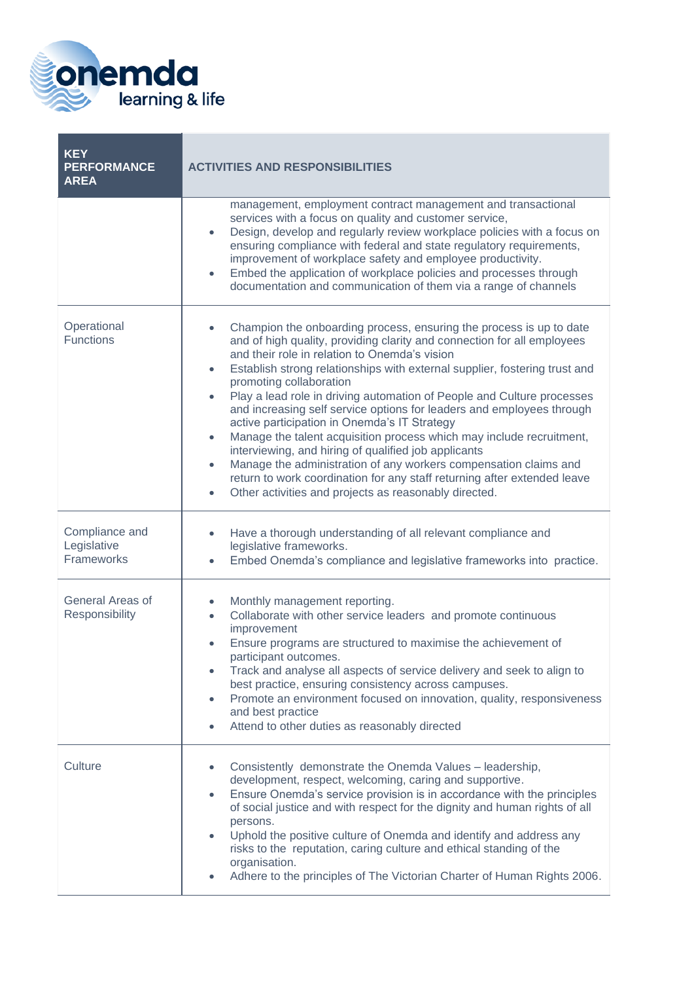

| <b>KEY</b><br><b>PERFORMANCE</b><br><b>AREA</b> | <b>ACTIVITIES AND RESPONSIBILITIES</b>                                                                                                                                                                                                                                                                                                                                                                                                                                                                                                                                                                                                                                                                                                                                                                                                                                                                                             |  |
|-------------------------------------------------|------------------------------------------------------------------------------------------------------------------------------------------------------------------------------------------------------------------------------------------------------------------------------------------------------------------------------------------------------------------------------------------------------------------------------------------------------------------------------------------------------------------------------------------------------------------------------------------------------------------------------------------------------------------------------------------------------------------------------------------------------------------------------------------------------------------------------------------------------------------------------------------------------------------------------------|--|
|                                                 | management, employment contract management and transactional<br>services with a focus on quality and customer service,<br>Design, develop and regularly review workplace policies with a focus on<br>$\bullet$<br>ensuring compliance with federal and state regulatory requirements,<br>improvement of workplace safety and employee productivity.<br>Embed the application of workplace policies and processes through<br>$\bullet$<br>documentation and communication of them via a range of channels                                                                                                                                                                                                                                                                                                                                                                                                                           |  |
| Operational<br><b>Functions</b>                 | Champion the onboarding process, ensuring the process is up to date<br>$\bullet$<br>and of high quality, providing clarity and connection for all employees<br>and their role in relation to Onemda's vision<br>Establish strong relationships with external supplier, fostering trust and<br>$\bullet$<br>promoting collaboration<br>Play a lead role in driving automation of People and Culture processes<br>$\bullet$<br>and increasing self service options for leaders and employees through<br>active participation in Onemda's IT Strategy<br>Manage the talent acquisition process which may include recruitment,<br>$\bullet$<br>interviewing, and hiring of qualified job applicants<br>Manage the administration of any workers compensation claims and<br>$\bullet$<br>return to work coordination for any staff returning after extended leave<br>Other activities and projects as reasonably directed.<br>$\bullet$ |  |
| Compliance and<br>Legislative<br>Frameworks     | Have a thorough understanding of all relevant compliance and<br>$\bullet$<br>legislative frameworks.<br>Embed Onemda's compliance and legislative frameworks into practice.<br>$\bullet$                                                                                                                                                                                                                                                                                                                                                                                                                                                                                                                                                                                                                                                                                                                                           |  |
| General Areas of<br>Responsibility              | Monthly management reporting.<br>۰<br>Collaborate with other service leaders and promote continuous<br>$\bullet$<br>improvement<br>Ensure programs are structured to maximise the achievement of<br>$\bullet$<br>participant outcomes.<br>Track and analyse all aspects of service delivery and seek to align to<br>$\bullet$<br>best practice, ensuring consistency across campuses.<br>Promote an environment focused on innovation, quality, responsiveness<br>$\bullet$<br>and best practice<br>Attend to other duties as reasonably directed<br>۰                                                                                                                                                                                                                                                                                                                                                                             |  |
| Culture                                         | Consistently demonstrate the Onemda Values - leadership,<br>development, respect, welcoming, caring and supportive.<br>Ensure Onemda's service provision is in accordance with the principles<br>$\bullet$<br>of social justice and with respect for the dignity and human rights of all<br>persons.<br>Uphold the positive culture of Onemda and identify and address any<br>$\bullet$<br>risks to the reputation, caring culture and ethical standing of the<br>organisation.<br>Adhere to the principles of The Victorian Charter of Human Rights 2006.<br>$\bullet$                                                                                                                                                                                                                                                                                                                                                            |  |